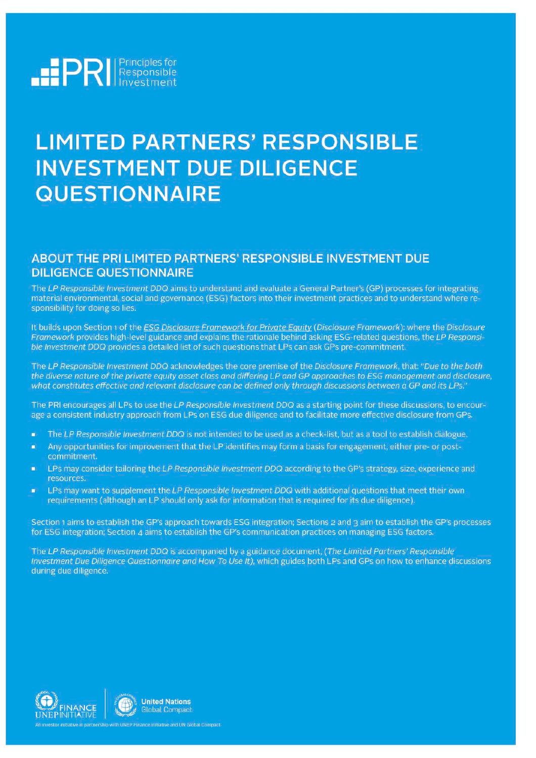

# **LIMITED PARTNERS' RESPONSIBLE INVESTMENT DUE DILIGENCE QUESTIONNAIRE**

### ABOUT THE PRI LIMITED PARTNERS' RESPONSIBLE INVESTMENT DUE **DILIGENCE QUESTIONNAIRE**

The LP Responsible Investment DDQ aims to understand and evaluate a General Partner's (GP) processes for integrating material environmental, social and governance (ESG) factors into their investment practices and to understand where responsibility for doing so lies.

It builds upon Section 1 of the ESG Disclosure Framework for Private Equity (Disclosure Framework): where the Disclosure Framework provides high-level guidance and explains the rationale behind asking ESG-related questions, the LP Responsible Investment DDQ provides a detailed list of such questions that LPs can ask GPs pre-commitment.

The LP Responsible Investment DDQ acknowledges the core premise of the Disclosure Framework, that: "Due to the both the diverse nature of the private equity asset class and differing LP and GP approaches to ESG management and disclosure, what constitutes effective and relevant disclosure can be defined only through discussions between a GP and its LPs."

The PRI encourages all LPs to use the LP Responsible Investment DDQ as a starting point for these discussions, to encourage a consistent industry approach from LPs on ESG due diligence and to facilitate more effective disclosure from GPs.

- The LP Responsible Investment DDQ is not intended to be used as a check-list, but as a tool to establish dialogue.
- Any opportunities for improvement that the LP identifies may form a basis for engagement, either pre- or postcommitment.
- LPs may consider tailoring the LP Responsible Investment DDQ according to the GP's strategy, size, experience and resources.
- LPs may want to supplement the LP Responsible Investment DDQ with additional questions that meet their own n requirements (although an LP should only ask for information that is required for its due diligence).

Section 1 aims to establish the GP's approach towards ESG integration; Sections 2 and 3 aim to establish the GP's processes for ESG integration; Section 4 aims to establish the GP's communication practices on managing ESG factors.

The LP Responsible Investment DDQ is accompanied by a guidance document, (The Limited Partners' Responsible Investment Due Diligence Questionnaire and How To Use It), which guides both LPs and GPs on how to enhance discussions during due diligence.

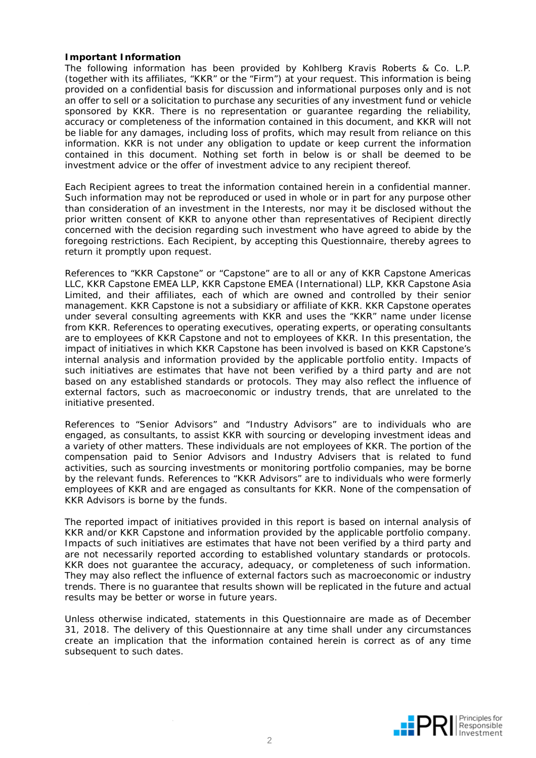#### **Important Information**

The following information has been provided by Kohlberg Kravis Roberts & Co. L.P. (together with its affiliates, "KKR" or the "Firm") at your request. This information is being provided on a confidential basis for discussion and informational purposes only and is not an offer to sell or a solicitation to purchase any securities of any investment fund or vehicle sponsored by KKR. There is no representation or guarantee regarding the reliability, accuracy or completeness of the information contained in this document, and KKR will not be liable for any damages, including loss of profits, which may result from reliance on this information. KKR is not under any obligation to update or keep current the information contained in this document. Nothing set forth in below is or shall be deemed to be investment advice or the offer of investment advice to any recipient thereof.

Each Recipient agrees to treat the information contained herein in a confidential manner. Such information may not be reproduced or used in whole or in part for any purpose other than consideration of an investment in the Interests, nor may it be disclosed without the prior written consent of KKR to anyone other than representatives of Recipient directly concerned with the decision regarding such investment who have agreed to abide by the foregoing restrictions. Each Recipient, by accepting this Questionnaire, thereby agrees to return it promptly upon request.

References to "KKR Capstone" or "Capstone" are to all or any of KKR Capstone Americas LLC, KKR Capstone EMEA LLP, KKR Capstone EMEA (International) LLP, KKR Capstone Asia Limited, and their affiliates, each of which are owned and controlled by their senior management. KKR Capstone is not a subsidiary or affiliate of KKR. KKR Capstone operates under several consulting agreements with KKR and uses the "KKR" name under license from KKR. References to operating executives, operating experts, or operating consultants are to employees of KKR Capstone and not to employees of KKR. In this presentation, the impact of initiatives in which KKR Capstone has been involved is based on KKR Capstone's internal analysis and information provided by the applicable portfolio entity. Impacts of such initiatives are estimates that have not been verified by a third party and are not based on any established standards or protocols. They may also reflect the influence of external factors, such as macroeconomic or industry trends, that are unrelated to the initiative presented.

References to "Senior Advisors" and "Industry Advisors" are to individuals who are engaged, as consultants, to assist KKR with sourcing or developing investment ideas and a variety of other matters. These individuals are not employees of KKR. The portion of the compensation paid to Senior Advisors and Industry Advisers that is related to fund activities, such as sourcing investments or monitoring portfolio companies, may be borne by the relevant funds. References to "KKR Advisors" are to individuals who were formerly employees of KKR and are engaged as consultants for KKR. None of the compensation of KKR Advisors is borne by the funds.

The reported impact of initiatives provided in this report is based on internal analysis of KKR and/or KKR Capstone and information provided by the applicable portfolio company. Impacts of such initiatives are estimates that have not been verified by a third party and are not necessarily reported according to established voluntary standards or protocols. KKR does not guarantee the accuracy, adequacy, or completeness of such information. They may also reflect the influence of external factors such as macroeconomic or industry trends. There is no guarantee that results shown will be replicated in the future and actual results may be better or worse in future years.

Unless otherwise indicated, statements in this Questionnaire are made as of December 31, 2018. The delivery of this Questionnaire at any time shall under any circumstances create an implication that the information contained herein is correct as of any time subsequent to such dates.

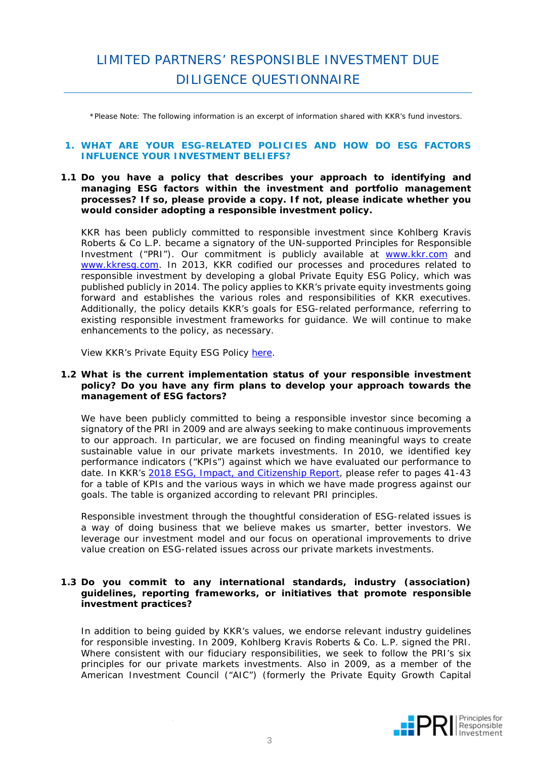## LIMITED PARTNERS' RESPONSIBLE INVESTMENT DUE DILIGENCE QUESTIONNAIRE

*\*Please Note: The following information is an excerpt of information shared with KKR's fund investors.*

#### **1. WHAT ARE YOUR ESG-RELATED POLICIES AND HOW DO ESG FACTORS INFLUENCE YOUR INVESTMENT BELIEFS?**

#### **1.1 Do you have a policy that describes your approach to identifying and managing ESG factors within the investment and portfolio management processes? If so, please provide a copy. If not, please indicate whether you would consider adopting a responsible investment policy.**

KKR has been publicly committed to responsible investment since Kohlberg Kravis Roberts & Co L.P. became a signatory of the UN-supported Principles for Responsible Investment ("PRI"). Our commitment is publicly available at [www.kkr.com](http://www.kkr.com/) and [www.kkresg.com.](http://www.kkresg.com/) In 2013, KKR codified our processes and procedures related to responsible investment by developing a global Private Equity ESG Policy, which was published publicly in 2014. The policy applies to KKR's private equity investments going forward and establishes the various roles and responsibilities of KKR executives. Additionally, the policy details KKR's goals for ESG-related performance, referring to existing responsible investment frameworks for guidance. We will continue to make enhancements to the policy, as necessary.

View KKR's Private Equity ESG Policy [here.](http://www.kkr.com/_files/pdf/kkr-esg-policy.pdf)

#### **1.2 What is the current implementation status of your responsible investment policy? Do you have any firm plans to develop your approach towards the management of ESG factors?**

We have been publicly committed to being a responsible investor since becoming a signatory of the PRI in 2009 and are always seeking to make continuous improvements to our approach. In particular, we are focused on finding meaningful ways to create sustainable value in our private markets investments. In 2010, we identified key performance indicators ("KPIs") against which we have evaluated our performance to date. In KKR's 2018 ESG, Impact, [and Citizenship Report,](http://www.kkresg.com/) please refer to pages 41-43 for a table of KPIs and the various ways in which we have made progress against our goals. The table is organized according to relevant PRI principles.

Responsible investment through the thoughtful consideration of ESG-related issues is a way of doing business that we believe makes us smarter, better investors. We leverage our investment model and our focus on operational improvements to drive value creation on ESG-related issues across our private markets investments.

#### **1.3 Do you commit to any international standards, industry (association) guidelines, reporting frameworks, or initiatives that promote responsible investment practices?**

In addition to being guided by KKR's values, we endorse relevant industry guidelines for responsible investing. In 2009, Kohlberg Kravis Roberts & Co. L.P. signed the PRI. Where consistent with our fiduciary responsibilities, we seek to follow the PRI's six principles for our private markets investments. Also in 2009, as a member of the American Investment Council ("AIC") (formerly the Private Equity Growth Capital

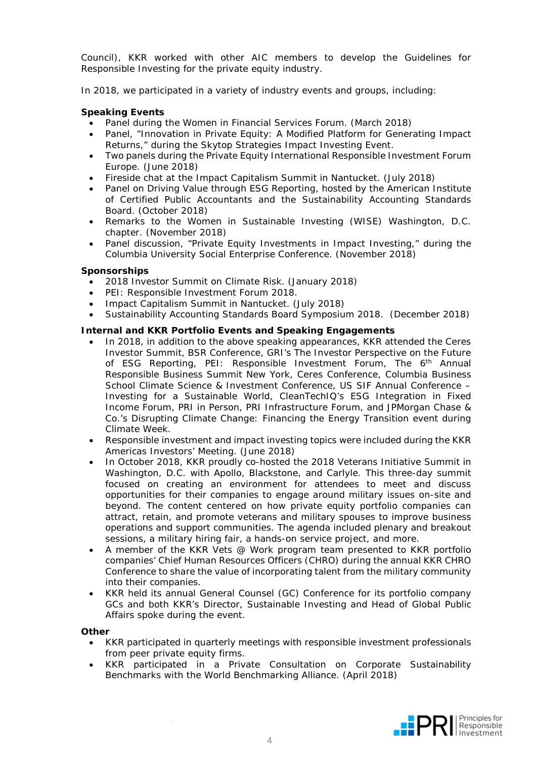Council), KKR worked with other AIC members to develop the Guidelines for Responsible Investing for the private equity industry.

In 2018, we participated in a variety of industry events and groups, including:

#### **Speaking Events**

- Panel during the Women in Financial Services Forum. (March 2018)
- Panel, "Innovation in Private Equity: A Modified Platform for Generating Impact Returns," during the Skytop Strategies Impact Investing Event.
- Two panels during the Private Equity International Responsible Investment Forum Europe. (June 2018)
- Fireside chat at the Impact Capitalism Summit in Nantucket. (July 2018)
- Panel on Driving Value through ESG Reporting, hosted by the American Institute of Certified Public Accountants and the Sustainability Accounting Standards Board. (October 2018)
- Remarks to the Women in Sustainable Investing (WISE) Washington, D.C. chapter. (November 2018)
- Panel discussion, "Private Equity Investments in Impact Investing," during the Columbia University Social Enterprise Conference. (November 2018)

#### **Sponsorships**

- 2018 Investor Summit on Climate Risk. (January 2018)
- PEI: Responsible Investment Forum 2018.
- Impact Capitalism Summit in Nantucket. (July 2018)
- Sustainability Accounting Standards Board Symposium 2018. (December 2018)

#### **Internal and KKR Portfolio Events and Speaking Engagements**

- In 2018, in addition to the above speaking appearances, KKR attended the Ceres Investor Summit, BSR Conference, GRI's The Investor Perspective on the Future of ESG Reporting, PEI: Responsible Investment Forum, The 6<sup>th</sup> Annual Responsible Business Summit New York, Ceres Conference, Columbia Business School Climate Science & Investment Conference, US SIF Annual Conference – Investing for a Sustainable World, CleanTechIQ's ESG Integration in Fixed Income Forum, PRI in Person, PRI Infrastructure Forum, and JPMorgan Chase & Co.'s Disrupting Climate Change: Financing the Energy Transition event during Climate Week.
- Responsible investment and impact investing topics were included during the KKR Americas Investors' Meeting. (June 2018)
- In October 2018, KKR proudly co-hosted the 2018 Veterans Initiative Summit in Washington, D.C. with Apollo, Blackstone, and Carlyle. This three-day summit focused on creating an environment for attendees to meet and discuss opportunities for their companies to engage around military issues on-site and beyond. The content centered on how private equity portfolio companies can attract, retain, and promote veterans and military spouses to improve business operations and support communities. The agenda included plenary and breakout sessions, a military hiring fair, a hands-on service project, and more.
- A member of the KKR Vets @ Work program team presented to KKR portfolio companies' Chief Human Resources Officers (CHRO) during the annual KKR CHRO Conference to share the value of incorporating talent from the military community into their companies.
- KKR held its annual General Counsel (GC) Conference for its portfolio company GCs and both KKR's Director, Sustainable Investing and Head of Global Public Affairs spoke during the event.

#### **Other**

- KKR participated in quarterly meetings with responsible investment professionals from peer private equity firms.
- KKR participated in a Private Consultation on Corporate Sustainability Benchmarks with the World Benchmarking Alliance. (April 2018)

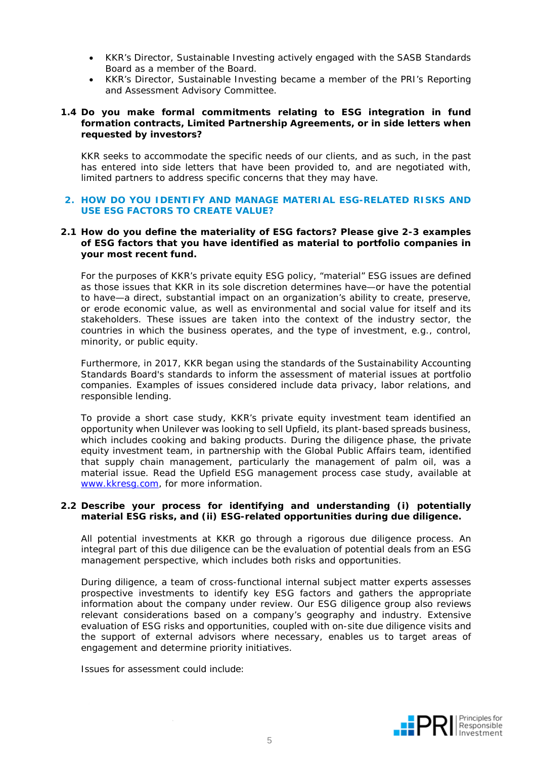- KKR's Director, Sustainable Investing actively engaged with the SASB Standards Board as a member of the Board.
- KKR's Director, Sustainable Investing became a member of the PRI's Reporting and Assessment Advisory Committee.

#### **1.4 Do you make formal commitments relating to ESG integration in fund formation contracts, Limited Partnership Agreements, or in side letters when requested by investors?**

KKR seeks to accommodate the specific needs of our clients, and as such, in the past has entered into side letters that have been provided to, and are negotiated with, limited partners to address specific concerns that they may have.

#### **2. HOW DO YOU IDENTIFY AND MANAGE MATERIAL ESG-RELATED RISKS AND USE ESG FACTORS TO CREATE VALUE?**

#### **2.1 How do you define the materiality of ESG factors? Please give 2-3 examples of ESG factors that you have identified as material to portfolio companies in your most recent fund.**

For the purposes of KKR's private equity ESG policy, "material" ESG issues are defined as those issues that KKR in its sole discretion determines have—or have the potential to have—a direct, substantial impact on an organization's ability to create, preserve, or erode economic value, as well as environmental and social value for itself and its stakeholders. These issues are taken into the context of the industry sector, the countries in which the business operates, and the type of investment, e.g., control, minority, or public equity.

Furthermore, in 2017, KKR began using the standards of the Sustainability Accounting Standards Board's standards to inform the assessment of material issues at portfolio companies. Examples of issues considered include data privacy, labor relations, and responsible lending.

To provide a short case study, KKR's private equity investment team identified an opportunity when Unilever was looking to sell Upfield, its plant-based spreads business, which includes cooking and baking products. During the diligence phase, the private equity investment team, in partnership with the Global Public Affairs team, identified that supply chain management, particularly the management of palm oil, was a material issue. Read the Upfield ESG management process case study, available at [www.kkresg.com,](http://www.kkresg.com/) for more information.

#### **2.2 Describe your process for identifying and understanding (i) potentially material ESG risks, and (ii) ESG-related opportunities during due diligence.**

All potential investments at KKR go through a rigorous due diligence process. An integral part of this due diligence can be the evaluation of potential deals from an ESG management perspective, which includes both risks and opportunities.

During diligence, a team of cross-functional internal subject matter experts assesses prospective investments to identify key ESG factors and gathers the appropriate information about the company under review. Our ESG diligence group also reviews relevant considerations based on a company's geography and industry. Extensive evaluation of ESG risks and opportunities, coupled with on-site due diligence visits and the support of external advisors where necessary, enables us to target areas of engagement and determine priority initiatives.

Issues for assessment could include:

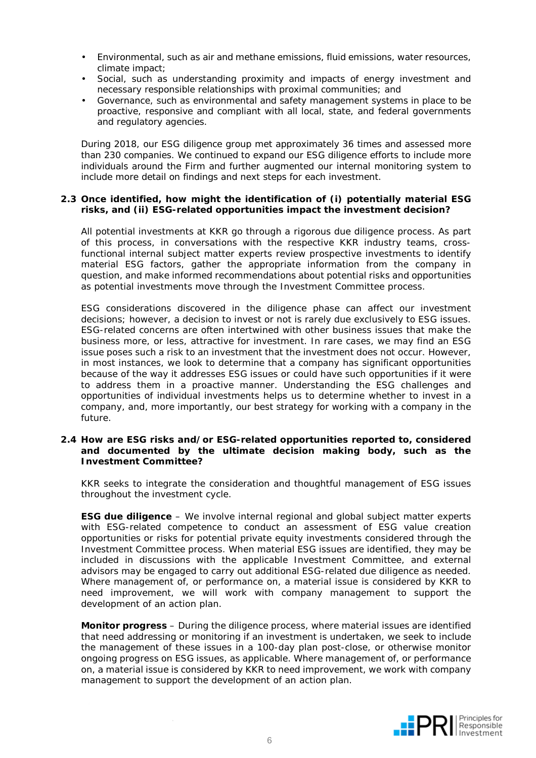- Environmental, such as air and methane emissions, fluid emissions, water resources, climate impact;
- Social, such as understanding proximity and impacts of energy investment and necessary responsible relationships with proximal communities; and
- Governance, such as environmental and safety management systems in place to be proactive, responsive and compliant with all local, state, and federal governments and regulatory agencies.

During 2018, our ESG diligence group met approximately 36 times and assessed more than 230 companies. We continued to expand our ESG diligence efforts to include more individuals around the Firm and further augmented our internal monitoring system to include more detail on findings and next steps for each investment.

#### **2.3 Once identified, how might the identification of (i) potentially material ESG risks, and (ii) ESG-related opportunities impact the investment decision?**

All potential investments at KKR go through a rigorous due diligence process. As part of this process, in conversations with the respective KKR industry teams, crossfunctional internal subject matter experts review prospective investments to identify material ESG factors, gather the appropriate information from the company in question, and make informed recommendations about potential risks and opportunities as potential investments move through the Investment Committee process.

ESG considerations discovered in the diligence phase can affect our investment decisions; however, a decision to invest or not is rarely due exclusively to ESG issues. ESG-related concerns are often intertwined with other business issues that make the business more, or less, attractive for investment. In rare cases, we may find an ESG issue poses such a risk to an investment that the investment does not occur. However, in most instances, we look to determine that a company has significant opportunities because of the way it addresses ESG issues or could have such opportunities if it were to address them in a proactive manner. Understanding the ESG challenges and opportunities of individual investments helps us to determine whether to invest in a company, and, more importantly, our best strategy for working with a company in the future.

#### **2.4 How are ESG risks and/or ESG-related opportunities reported to, considered and documented by the ultimate decision making body, such as the Investment Committee?**

KKR seeks to integrate the consideration and thoughtful management of ESG issues throughout the investment cycle.

**ESG due diligence** – We involve internal regional and global subject matter experts with ESG-related competence to conduct an assessment of ESG value creation opportunities or risks for potential private equity investments considered through the Investment Committee process. When material ESG issues are identified, they may be included in discussions with the applicable Investment Committee, and external advisors may be engaged to carry out additional ESG-related due diligence as needed. Where management of, or performance on, a material issue is considered by KKR to need improvement, we will work with company management to support the development of an action plan.

**Monitor progress** – During the diligence process, where material issues are identified that need addressing or monitoring if an investment is undertaken, we seek to include the management of these issues in a 100-day plan post-close, or otherwise monitor ongoing progress on ESG issues, as applicable. Where management of, or performance on, a material issue is considered by KKR to need improvement, we work with company management to support the development of an action plan.

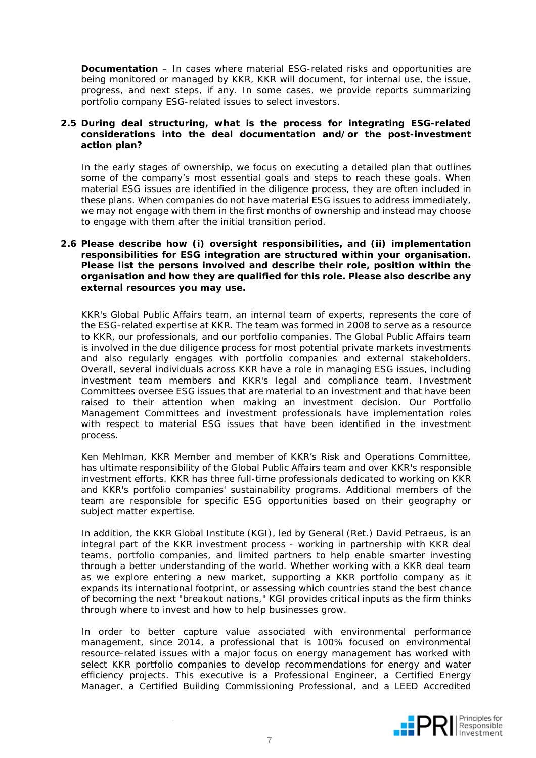**Documentation** – In cases where material ESG-related risks and opportunities are being monitored or managed by KKR, KKR will document, for internal use, the issue, progress, and next steps, if any. In some cases, we provide reports summarizing portfolio company ESG-related issues to select investors.

#### **2.5 During deal structuring, what is the process for integrating ESG-related considerations into the deal documentation and/or the post-investment action plan?**

In the early stages of ownership, we focus on executing a detailed plan that outlines some of the company's most essential goals and steps to reach these goals. When material ESG issues are identified in the diligence process, they are often included in these plans. When companies do not have material ESG issues to address immediately, we may not engage with them in the first months of ownership and instead may choose to engage with them after the initial transition period.

#### **2.6 Please describe how (i) oversight responsibilities, and (ii) implementation responsibilities for ESG integration are structured within your organisation. Please list the persons involved and describe their role, position within the organisation and how they are qualified for this role. Please also describe any external resources you may use.**

KKR's Global Public Affairs team, an internal team of experts, represents the core of the ESG-related expertise at KKR. The team was formed in 2008 to serve as a resource to KKR, our professionals, and our portfolio companies. The Global Public Affairs team is involved in the due diligence process for most potential private markets investments and also regularly engages with portfolio companies and external stakeholders. Overall, several individuals across KKR have a role in managing ESG issues, including investment team members and KKR's legal and compliance team. Investment Committees oversee ESG issues that are material to an investment and that have been raised to their attention when making an investment decision. Our Portfolio Management Committees and investment professionals have implementation roles with respect to material ESG issues that have been identified in the investment process.

Ken Mehlman, KKR Member and member of KKR's Risk and Operations Committee, has ultimate responsibility of the Global Public Affairs team and over KKR's responsible investment efforts. KKR has three full-time professionals dedicated to working on KKR and KKR's portfolio companies' sustainability programs. Additional members of the team are responsible for specific ESG opportunities based on their geography or subject matter expertise.

In addition, the KKR Global Institute (KGI), led by General (Ret.) David Petraeus, is an integral part of the KKR investment process - working in partnership with KKR deal teams, portfolio companies, and limited partners to help enable smarter investing through a better understanding of the world. Whether working with a KKR deal team as we explore entering a new market, supporting a KKR portfolio company as it expands its international footprint, or assessing which countries stand the best chance of becoming the next "breakout nations," KGI provides critical inputs as the firm thinks through where to invest and how to help businesses grow.

In order to better capture value associated with environmental performance management, since 2014, a professional that is 100% focused on environmental resource-related issues with a major focus on energy management has worked with select KKR portfolio companies to develop recommendations for energy and water efficiency projects. This executive is a Professional Engineer, a Certified Energy Manager, a Certified Building Commissioning Professional, and a LEED Accredited

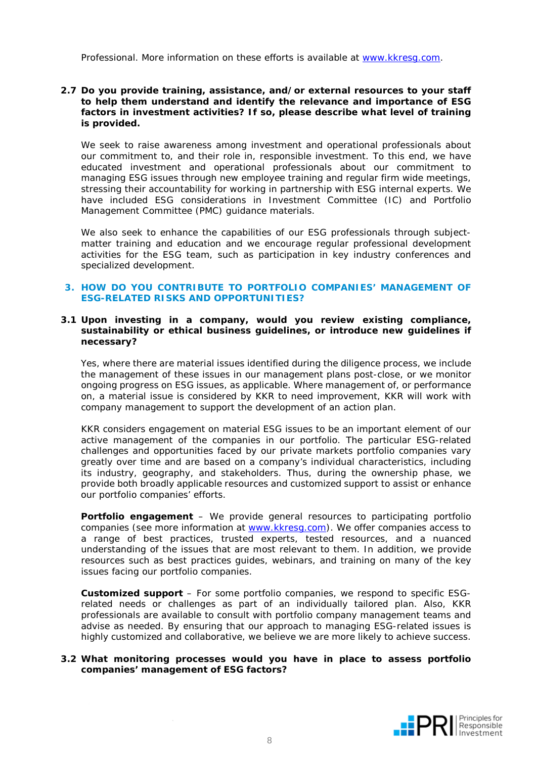Professional. More information on these efforts is available at [www.kkresg.com.](http://www.kkresg.com/)

#### **2.7 Do you provide training, assistance, and/or external resources to your staff to help them understand and identify the relevance and importance of ESG factors in investment activities? If so, please describe what level of training is provided.**

We seek to raise awareness among investment and operational professionals about our commitment to, and their role in, responsible investment. To this end, we have educated investment and operational professionals about our commitment to managing ESG issues through new employee training and regular firm wide meetings, stressing their accountability for working in partnership with ESG internal experts. We have included ESG considerations in Investment Committee (IC) and Portfolio Management Committee (PMC) guidance materials.

We also seek to enhance the capabilities of our ESG professionals through subjectmatter training and education and we encourage regular professional development activities for the ESG team, such as participation in key industry conferences and specialized development.

#### **3. HOW DO YOU CONTRIBUTE TO PORTFOLIO COMPANIES' MANAGEMENT OF ESG-RELATED RISKS AND OPPORTUNITIES?**

#### **3.1 Upon investing in a company, would you review existing compliance, sustainability or ethical business guidelines, or introduce new guidelines if necessary?**

Yes, where there are material issues identified during the diligence process, we include the management of these issues in our management plans post-close, or we monitor ongoing progress on ESG issues, as applicable. Where management of, or performance on, a material issue is considered by KKR to need improvement, KKR will work with company management to support the development of an action plan.

KKR considers engagement on material ESG issues to be an important element of our active management of the companies in our portfolio. The particular ESG-related challenges and opportunities faced by our private markets portfolio companies vary greatly over time and are based on a company's individual characteristics, including its industry, geography, and stakeholders. Thus, during the ownership phase, we provide both broadly applicable resources and customized support to assist or enhance our portfolio companies' efforts.

**Portfolio engagement** – We provide general resources to participating portfolio companies (see more information at [www.kkresg.com\)](http://www.kkresg.com/). We offer companies access to a range of best practices, trusted experts, tested resources, and a nuanced understanding of the issues that are most relevant to them. In addition, we provide resources such as best practices guides, webinars, and training on many of the key issues facing our portfolio companies.

**Customized support** – For some portfolio companies, we respond to specific ESGrelated needs or challenges as part of an individually tailored plan. Also, KKR professionals are available to consult with portfolio company management teams and advise as needed. By ensuring that our approach to managing ESG-related issues is highly customized and collaborative, we believe we are more likely to achieve success.

#### **3.2 What monitoring processes would you have in place to assess portfolio companies' management of ESG factors?**

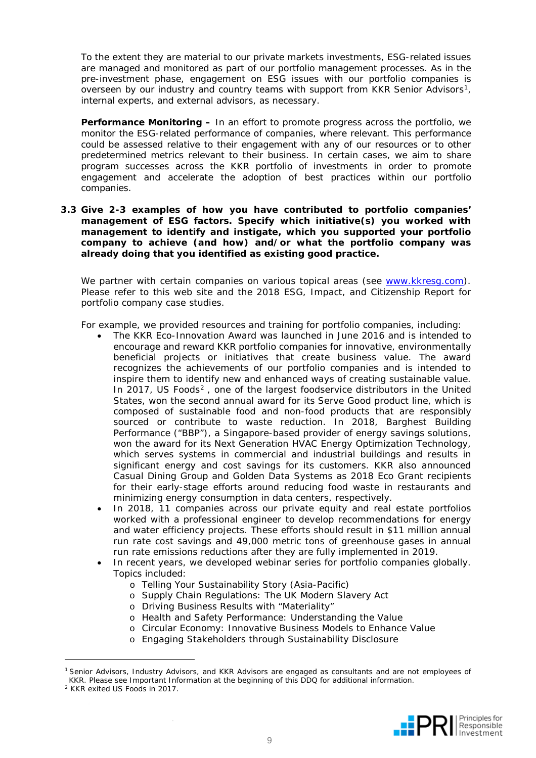To the extent they are material to our private markets investments, ESG-related issues are managed and monitored as part of our portfolio management processes. As in the pre-investment phase, engagement on ESG issues with our portfolio companies is overseen by our industry and country teams with support from KKR Senior Advisors<sup>1</sup>, internal experts, and external advisors, as necessary.

**Performance Monitoring –** In an effort to promote progress across the portfolio, we monitor the ESG-related performance of companies, where relevant. This performance could be assessed relative to their engagement with any of our resources or to other predetermined metrics relevant to their business. In certain cases, we aim to share program successes across the KKR portfolio of investments in order to promote engagement and accelerate the adoption of best practices within our portfolio companies.

#### **3.3 Give 2-3 examples of how you have contributed to portfolio companies' management of ESG factors. Specify which initiative(s) you worked with management to identify and instigate, which you supported your portfolio company to achieve (and how) and/or what the portfolio company was already doing that you identified as existing good practice.**

We partner with certain companies on various topical areas (see [www.kkresg.com\)](http://www.kkresg.com/). Please refer to this web site and the 2018 ESG, Impact, and Citizenship Report for portfolio company case studies.

For example, we provided resources and training for portfolio companies, including:

- The KKR Eco-Innovation Award was launched in June 2016 and is intended to encourage and reward KKR portfolio companies for innovative, environmentally beneficial projects or initiatives that create business value. The award recognizes the achievements of our portfolio companies and is intended to inspire them to identify new and enhanced ways of creating sustainable value. In [2](#page-8-1)017, US Foods $2$ , one of the largest foodservice distributors in the United States, won the second annual award for its Serve Good product line, which is composed of sustainable food and non-food products that are responsibly sourced or contribute to waste reduction. In 2018, Barghest Building Performance ("BBP"), a Singapore-based provider of energy savings solutions, won the award for its Next Generation HVAC Energy Optimization Technology, which serves systems in commercial and industrial buildings and results in significant energy and cost savings for its customers. KKR also announced Casual Dining Group and Golden Data Systems as 2018 Eco Grant recipients for their early-stage efforts around reducing food waste in restaurants and minimizing energy consumption in data centers, respectively.
- In 2018, 11 companies across our private equity and real estate portfolios worked with a professional engineer to develop recommendations for energy and water efficiency projects. These efforts should result in \$11 million annual run rate cost savings and 49,000 metric tons of greenhouse gases in annual run rate emissions reductions after they are fully implemented in 2019.
- In recent years, we developed webinar series for portfolio companies globally. Topics included:
	- o Telling Your Sustainability Story (Asia-Pacific)
	- o Supply Chain Regulations: The UK Modern Slavery Act
	- o Driving Business Results with "Materiality"
	- o Health and Safety Performance: Understanding the Value
	- o Circular Economy: Innovative Business Models to Enhance Value
	- o Engaging Stakeholders through Sustainability Disclosure

j



<span id="page-8-0"></span><sup>1</sup> Senior Advisors, Industry Advisors, and KKR Advisors are engaged as consultants and are not employees of KKR. Please see Important Information at the beginning of this DDQ for additional information.

<span id="page-8-1"></span><sup>2</sup> KKR exited US Foods in 2017.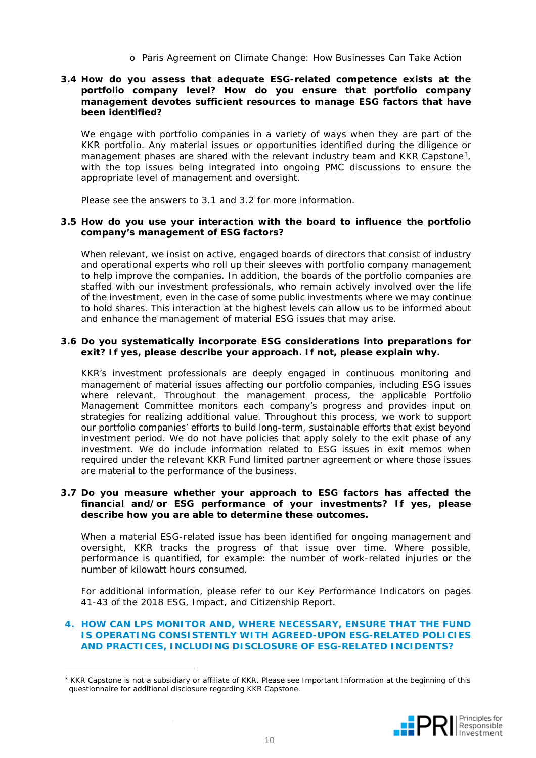o Paris Agreement on Climate Change: How Businesses Can Take Action

#### **3.4 How do you assess that adequate ESG-related competence exists at the portfolio company level? How do you ensure that portfolio company management devotes sufficient resources to manage ESG factors that have been identified?**

We engage with portfolio companies in a variety of ways when they are part of the KKR portfolio. Any material issues or opportunities identified during the diligence or management phases are shared with the relevant industry team and KKR Capstone[3](#page-9-0), with the top issues being integrated into ongoing PMC discussions to ensure the appropriate level of management and oversight.

Please see the answers to 3.1 and 3.2 for more information.

#### **3.5 How do you use your interaction with the board to influence the portfolio company's management of ESG factors?**

When relevant, we insist on active, engaged boards of directors that consist of industry and operational experts who roll up their sleeves with portfolio company management to help improve the companies. In addition, the boards of the portfolio companies are staffed with our investment professionals, who remain actively involved over the life of the investment, even in the case of some public investments where we may continue to hold shares. This interaction at the highest levels can allow us to be informed about and enhance the management of material ESG issues that may arise.

#### **3.6 Do you systematically incorporate ESG considerations into preparations for exit? If yes, please describe your approach. If not, please explain why.**

KKR's investment professionals are deeply engaged in continuous monitoring and management of material issues affecting our portfolio companies, including ESG issues where relevant. Throughout the management process, the applicable Portfolio Management Committee monitors each company's progress and provides input on strategies for realizing additional value. Throughout this process, we work to support our portfolio companies' efforts to build long-term, sustainable efforts that exist beyond investment period. We do not have policies that apply solely to the exit phase of any investment. We do include information related to ESG issues in exit memos when required under the relevant KKR Fund limited partner agreement or where those issues are material to the performance of the business.

#### **3.7 Do you measure whether your approach to ESG factors has affected the financial and/or ESG performance of your investments? If yes, please describe how you are able to determine these outcomes.**

When a material ESG-related issue has been identified for ongoing management and oversight, KKR tracks the progress of that issue over time. Where possible, performance is quantified, for example: the number of work-related injuries or the number of kilowatt hours consumed.

For additional information, please refer to our Key Performance Indicators on pages 41-43 of the 2018 ESG, Impact, and Citizenship Report.

#### **4. HOW CAN LPS MONITOR AND, WHERE NECESSARY, ENSURE THAT THE FUND IS OPERATING CONSISTENTLY WITH AGREED-UPON ESG-RELATED POLICIES AND PRACTICES, INCLUDING DISCLOSURE OF ESG-RELATED INCIDENTS?**

j



<span id="page-9-0"></span><sup>&</sup>lt;sup>3</sup> KKR Capstone is not a subsidiary or affiliate of KKR. Please see Important Information at the beginning of this questionnaire for additional disclosure regarding KKR Capstone.